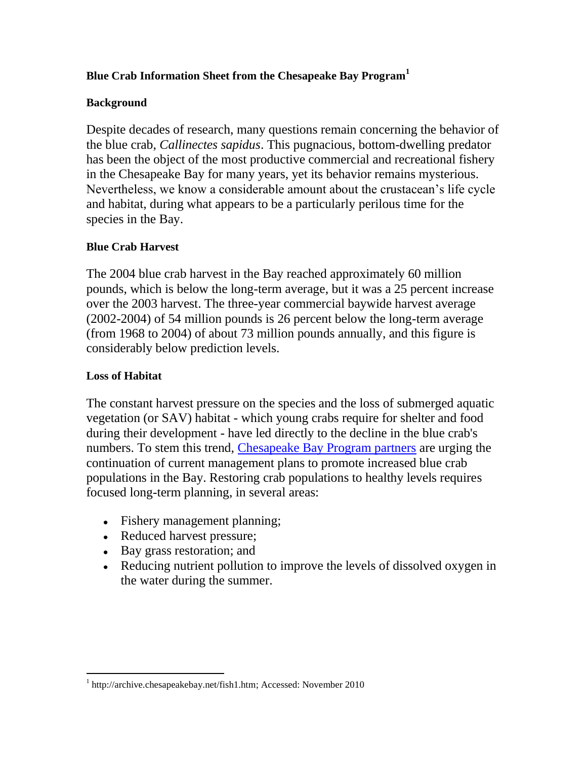# **Blue Crab Information Sheet from the Chesapeake Bay Program<sup>1</sup>**

#### **Background**

Despite decades of research, many questions remain concerning the behavior of the blue crab, *Callinectes sapidus*. This pugnacious, bottom-dwelling predator has been the object of the most productive commercial and recreational fishery in the Chesapeake Bay for many years, yet its behavior remains mysterious. Nevertheless, we know a considerable amount about the crustacean's life cycle and habitat, during what appears to be a particularly perilous time for the species in the Bay.

#### **Blue Crab Harvest**

The 2004 blue crab harvest in the Bay reached approximately 60 million pounds, which is below the long-term average, but it was a 25 percent increase over the 2003 harvest. The three-year commercial baywide harvest average (2002-2004) of 54 million pounds is 26 percent below the long-term average (from 1968 to 2004) of about 73 million pounds annually, and this figure is considerably below prediction levels.

### **Loss of Habitat**

 $\overline{a}$ 

The constant harvest pressure on the species and the loss of submerged aquatic vegetation (or SAV) habitat - which young crabs require for shelter and food during their development - have led directly to the decline in the blue crab's numbers. To stem this trend, [Chesapeake Bay Program partners](http://archive.chesapeakebay.net/baypartners.htm) are urging the continuation of current management plans to promote increased blue crab populations in the Bay. Restoring crab populations to healthy levels requires focused long-term planning, in several areas:

- Fishery management planning;
- Reduced harvest pressure;
- Bay grass restoration; and
- Reducing nutrient pollution to improve the levels of dissolved oxygen in the water during the summer.

<sup>&</sup>lt;sup>1</sup> [http://archive.chesapeakebay.net/fish1.htm;](http://archive.chesapeakebay.net/fish1.htm) Accessed: November 2010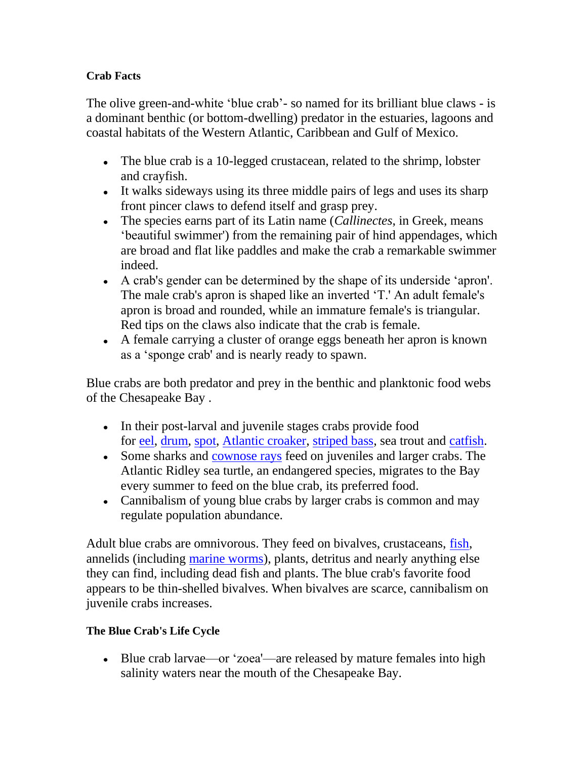## **Crab Facts**

The olive green-and-white 'blue crab'- so named for its brilliant blue claws - is a dominant benthic (or bottom-dwelling) predator in the estuaries, lagoons and coastal habitats of the Western Atlantic, Caribbean and Gulf of Mexico.

- The blue crab is a 10-legged crustacean, related to the shrimp, lobster and crayfish.
- It walks sideways using its three middle pairs of legs and uses its sharp front pincer claws to defend itself and grasp prey.
- The species earns part of its Latin name (*Callinectes*, in Greek, means 'beautiful swimmer') from the remaining pair of hind appendages, which are broad and flat like paddles and make the crab a remarkable swimmer indeed.
- A crab's gender can be determined by the shape of its underside 'apron'. The male crab's apron is shaped like an inverted 'T.' An adult female's apron is broad and rounded, while an immature female's is triangular. Red tips on the claws also indicate that the crab is female.
- A female carrying a cluster of orange eggs beneath her apron is known as a 'sponge crab' and is nearly ready to spawn.

Blue crabs are both predator and prey in the benthic and planktonic food webs of the Chesapeake Bay .

- In their post-larval and juvenile stages crabs provide food for [eel,](http://archive.chesapeakebay.net/info/american_eel.cfm) [drum,](http://archive.chesapeakebay.net/info/red_drum.cfm) [spot,](http://archive.chesapeakebay.net/info/spot.cfm) [Atlantic croaker,](http://archive.chesapeakebay.net/info/atlantic_croaker.cfm) [striped bass,](http://archive.chesapeakebay.net/info/striped_bass.cfm) sea trout and [catfish.](http://archive.chesapeakebay.net/info/catfish.cfm)
- Some sharks and [cownose rays](http://archive.chesapeakebay.net/cownose_ray.htm) feed on juveniles and larger crabs. The Atlantic Ridley sea turtle, an endangered species, migrates to the Bay every summer to feed on the blue crab, its preferred food.
- Cannibalism of young blue crabs by larger crabs is common and may regulate population abundance.

Adult blue crabs are omnivorous. They feed on bivalves, crustaceans, [fish,](http://archive.chesapeakebay.net/fish1.htm) annelids (including [marine worms\)](http://archive.chesapeakebay.net/polychaete.htm), plants, detritus and nearly anything else they can find, including dead fish and plants. The blue crab's favorite food appears to be thin-shelled bivalves. When bivalves are scarce, cannibalism on juvenile crabs increases.

## **The Blue Crab's Life Cycle**

Blue crab larvae—or 'zoea'—are released by mature females into high salinity waters near the mouth of the Chesapeake Bay.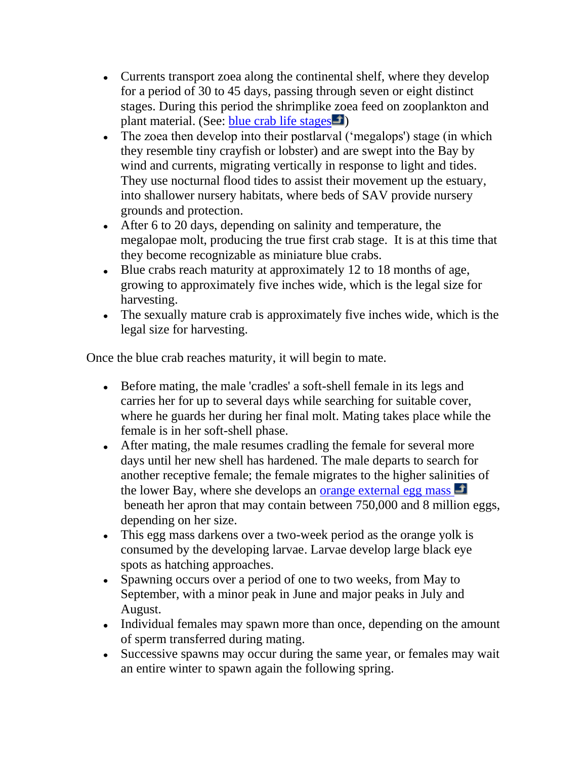- Currents transport zoea along the continental shelf, where they develop for a period of 30 to 45 days, passing through seven or eight distinct stages. During this period the shrimplike zoea feed on zooplankton and plant material. (See: [blue crab life stages](javascript:popWindow();)  $\Box$ )
- The zoea then develop into their postlarval ('megalops') stage (in which they resemble tiny crayfish or lobster) and are swept into the Bay by wind and currents, migrating vertically in response to light and tides. They use nocturnal flood tides to assist their movement up the estuary, into shallower nursery habitats, where beds of SAV provide nursery grounds and protection.
- After 6 to 20 days, depending on salinity and temperature, the megalopae molt, producing the true first crab stage. It is at this time that they become recognizable as miniature blue crabs.
- Blue crabs reach maturity at approximately 12 to 18 months of age, growing to approximately five inches wide, which is the legal size for harvesting.
- The sexually mature crab is approximately five inches wide, which is the legal size for harvesting.

Once the blue crab reaches maturity, it will begin to mate.

- Before mating, the male 'cradles' a soft-shell female in its legs and carries her for up to several days while searching for suitable cover, where he guards her during her final molt. Mating takes place while the female is in her soft-shell phase.
- After mating, the male resumes cradling the female for several more days until her new shell has hardened. The male departs to search for another receptive female; the female migrates to the higher salinities of the lower Bay, where she develops an [orange external egg mass](javascript:popWindow2();)  $\Box$ beneath her apron that may contain between 750,000 and 8 million eggs, depending on her size.
- This egg mass darkens over a two-week period as the orange yolk is consumed by the developing larvae. Larvae develop large black eye spots as hatching approaches.
- Spawning occurs over a period of one to two weeks, from May to September, with a minor peak in June and major peaks in July and August.
- Individual females may spawn more than once, depending on the amount of sperm transferred during mating.
- Successive spawns may occur during the same year, or females may wait an entire winter to spawn again the following spring.